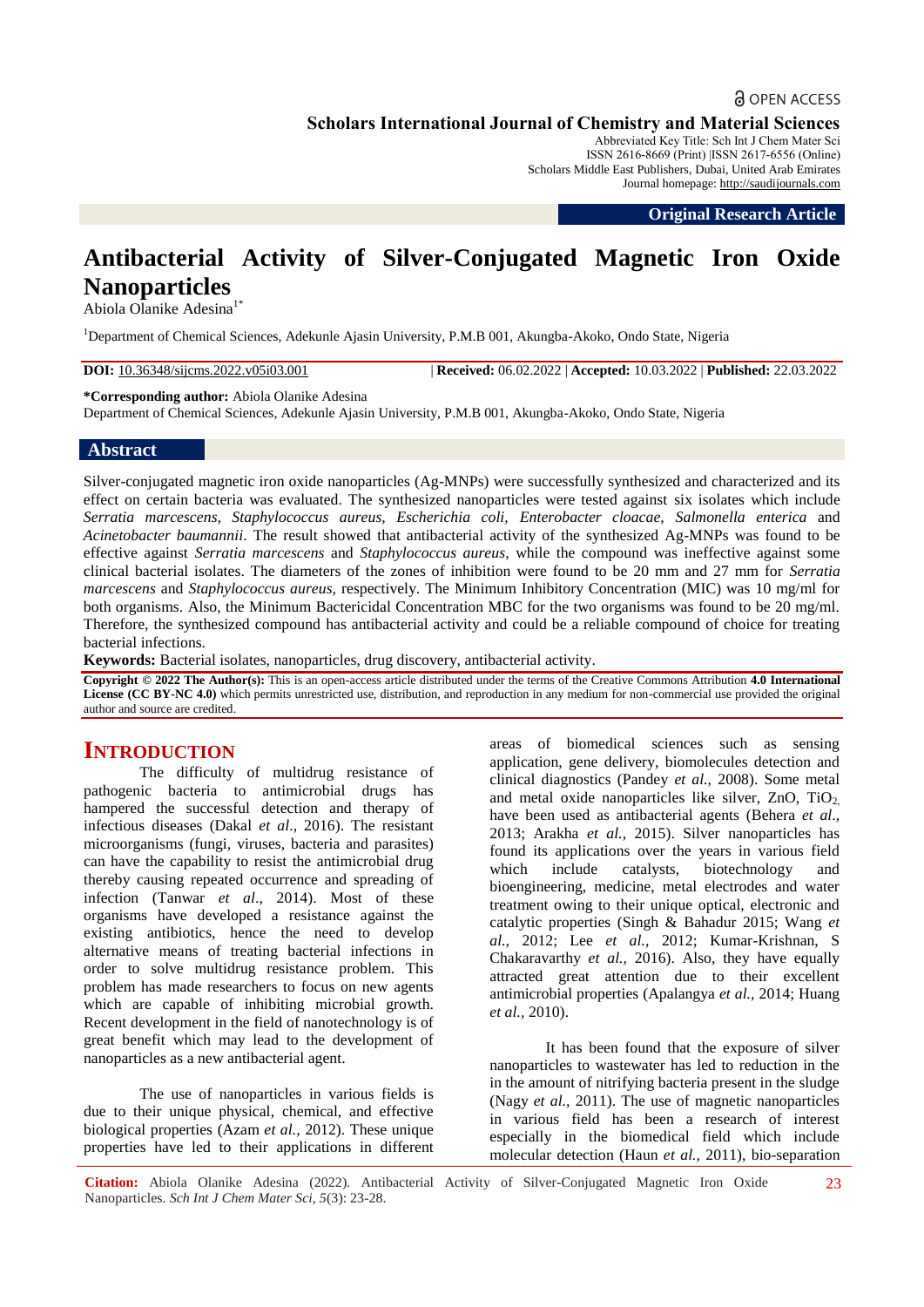# **a** OPEN ACCESS

**Scholars International Journal of Chemistry and Material Sciences**

Abbreviated Key Title: Sch Int J Chem Mater Sci ISSN 2616-8669 (Print) |ISSN 2617-6556 (Online) Scholars Middle East Publishers, Dubai, United Arab Emirates Journal homepage: [http://saudijournals.com](http://saudijournals.com/sijcms/)

**Original Research Article**

# **Antibacterial Activity of Silver-Conjugated Magnetic Iron Oxide Nanoparticles**

Abiola Olanike Adesina<sup>1\*</sup>

<sup>1</sup>Department of Chemical Sciences, Adekunle Ajasin University, P.M.B 001, Akungba-Akoko, Ondo State, Nigeria

**DOI:** 10.36348/sijcms.2022.v05i03.001 | **Received:** 06.02.2022 | **Accepted:** 10.03.2022 | **Published:** 22.03.2022

**\*Corresponding author:** Abiola Olanike Adesina

Department of Chemical Sciences, Adekunle Ajasin University, P.M.B 001, Akungba-Akoko, Ondo State, Nigeria

## **Abstract**

Silver-conjugated magnetic iron oxide nanoparticles (Ag-MNPs) were successfully synthesized and characterized and its effect on certain bacteria was evaluated. The synthesized nanoparticles were tested against six isolates which include *Serratia marcescens, Staphylococcus aureus, Escherichia coli, Enterobacter cloacae, Salmonella enterica* and *Acinetobacter baumannii*. The result showed that antibacterial activity of the synthesized Ag-MNPs was found to be effective against *Serratia marcescens* and *Staphylococcus aureus*, while the compound was ineffective against some clinical bacterial isolates. The diameters of the zones of inhibition were found to be 20 mm and 27 mm for *Serratia marcescens* and *Staphylococcus aureus,* respectively. The Minimum Inhibitory Concentration (MIC) was 10 mg/ml for both organisms. Also, the Minimum Bactericidal Concentration MBC for the two organisms was found to be 20 mg/ml. Therefore, the synthesized compound has antibacterial activity and could be a reliable compound of choice for treating bacterial infections.

**Keywords:** Bacterial isolates, nanoparticles, drug discovery, antibacterial activity.

**Copyright © 2022 The Author(s):** This is an open-access article distributed under the terms of the Creative Commons Attribution **4.0 International**  License (CC BY-NC 4.0) which permits unrestricted use, distribution, and reproduction in any medium for non-commercial use provided the original author and source are credited.

# **INTRODUCTION**

The difficulty of multidrug resistance of pathogenic bacteria to antimicrobial drugs has hampered the successful detection and therapy of infectious diseases (Dakal *et al*., 2016). The resistant microorganisms (fungi, viruses, bacteria and parasites) can have the capability to resist the antimicrobial drug thereby causing repeated occurrence and spreading of infection (Tanwar *et al*., 2014). Most of these organisms have developed a resistance against the existing antibiotics, hence the need to develop alternative means of treating bacterial infections in order to solve multidrug resistance problem. This problem has made researchers to focus on new agents which are capable of inhibiting microbial growth. Recent development in the field of nanotechnology is of great benefit which may lead to the development of nanoparticles as a new antibacterial agent.

The use of nanoparticles in various fields is due to their unique physical, chemical, and effective biological properties (Azam *et al.,* 2012). These unique properties have led to their applications in different areas of biomedical sciences such as sensing application, gene delivery, biomolecules detection and clinical diagnostics (Pandey *et al.,* 2008). Some metal and metal oxide nanoparticles like silver,  $ZnO$ ,  $TiO<sub>2</sub>$ have been used as antibacterial agents (Behera *et al*., 2013; Arakha *et al.,* 2015). Silver nanoparticles has found its applications over the years in various field which include catalysts, biotechnology and bioengineering, medicine, metal electrodes and water treatment owing to their unique optical, electronic and catalytic properties (Singh & Bahadur 2015; Wang *et al.,* 2012; Lee *et al.,* 2012; Kumar-Krishnan, S Chakaravarthy *et al.,* 2016). Also, they have equally attracted great attention due to their excellent antimicrobial properties (Apalangya *et al.,* 2014; Huang *et al.,* 2010).

It has been found that the exposure of silver nanoparticles to wastewater has led to reduction in the in the amount of nitrifying bacteria present in the sludge (Nagy *et al.,* 2011). The use of magnetic nanoparticles in various field has been a research of interest especially in the biomedical field which include molecular detection (Haun *et al.,* 2011), bio-separation

**Citation:** Abiola Olanike Adesina (2022). Antibacterial Activity of Silver-Conjugated Magnetic Iron Oxide Nanoparticles. *Sch Int J Chem Mater Sci, 5*(3): 23-28.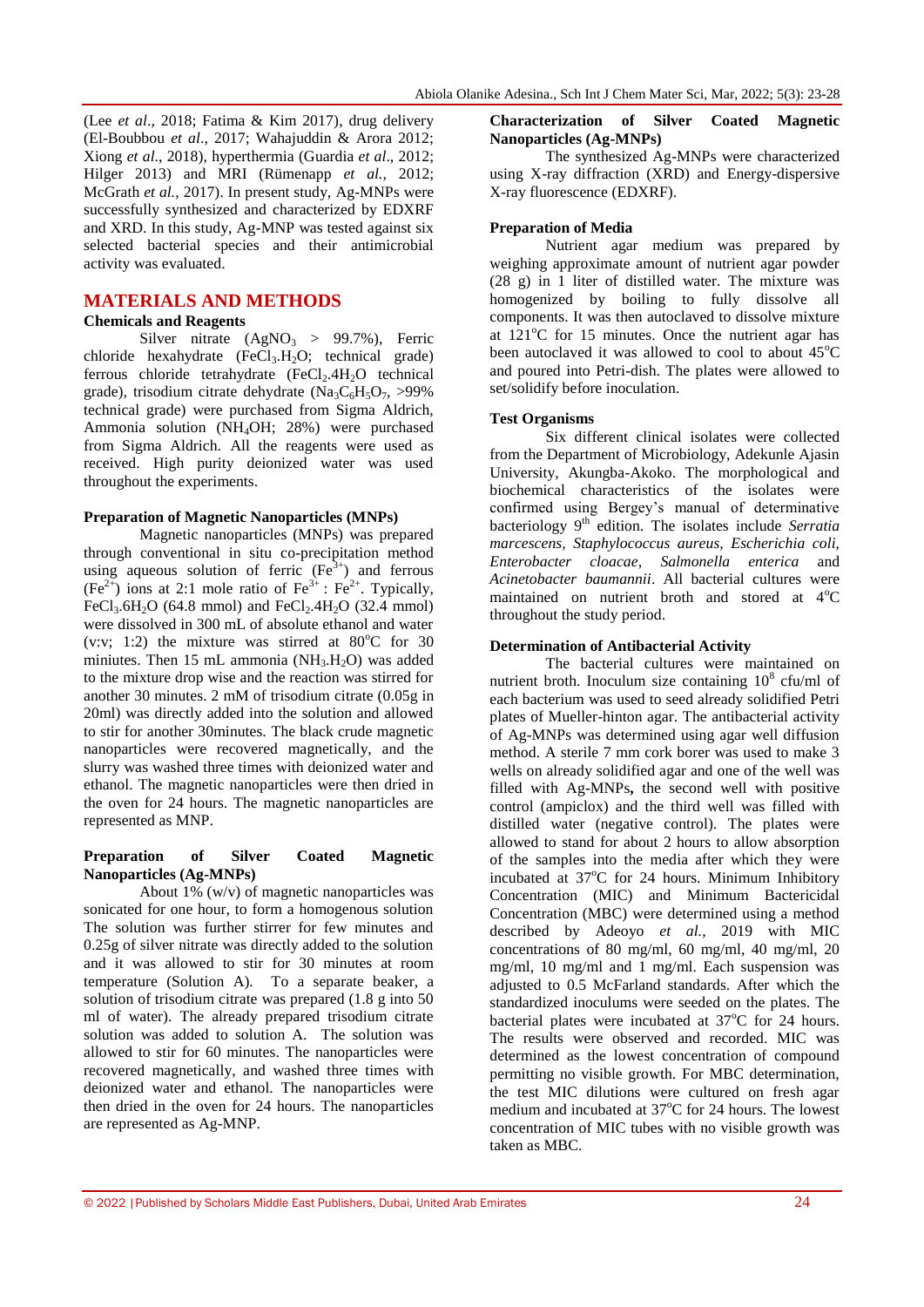(Lee *et al*., 2018; Fatima & Kim 2017), drug delivery (El-Boubbou *et al*., 2017; Wahajuddin & Arora 2012; Xiong *et al*., 2018), hyperthermia (Guardia *et al*., 2012; Hilger 2013) and MRI (Rümenapp *et al.,* 2012; McGrath *et al.,* 2017). In present study, Ag-MNPs were successfully synthesized and characterized by EDXRF and XRD. In this study, Ag-MNP was tested against six selected bacterial species and their antimicrobial activity was evaluated.

# **MATERIALS AND METHODS**

## **Chemicals and Reagents**

Silver nitrate  $(AgNO_3 > 99.7\%)$ , Ferric chloride hexahydrate  $(FeCl<sub>3</sub>.H<sub>2</sub>O; technical grade)$ ferrous chloride tetrahydrate  $(FeCl<sub>2</sub>.4H<sub>2</sub>O)$  technical grade), trisodium citrate dehydrate (Na<sub>3</sub>C<sub>6</sub>H<sub>5</sub>O<sub>7</sub>, >99%) technical grade) were purchased from Sigma Aldrich, Ammonia solution (NH4OH; 28%) were purchased from Sigma Aldrich. All the reagents were used as received. High purity deionized water was used throughout the experiments.

#### **Preparation of Magnetic Nanoparticles (MNPs)**

Magnetic nanoparticles (MNPs) was prepared through conventional in situ co-precipitation method using aqueous solution of ferric  $(Fe<sup>3+</sup>)$  and ferrous  $(Fe^{2+})$  ions at 2:1 mole ratio of  $Fe^{3+}$ :  $Fe^{2+}$ . Typically, FeCl<sub>3</sub>.6H<sub>2</sub>O (64.8 mmol) and FeCl<sub>2</sub>.4H<sub>2</sub>O (32.4 mmol) were dissolved in 300 mL of absolute ethanol and water (v:v: 1:2) the mixture was stirred at  $80^{\circ}$ C for 30 miniutes. Then 15 mL ammonia (NH<sub>3</sub>.H<sub>2</sub>O) was added to the mixture drop wise and the reaction was stirred for another 30 minutes. 2 mM of trisodium citrate (0.05g in 20ml) was directly added into the solution and allowed to stir for another 30minutes. The black crude magnetic nanoparticles were recovered magnetically, and the slurry was washed three times with deionized water and ethanol. The magnetic nanoparticles were then dried in the oven for 24 hours. The magnetic nanoparticles are represented as MNP.

#### **Preparation of Silver Coated Magnetic Nanoparticles (Ag-MNPs)**

About 1% (w/v) of magnetic nanoparticles was sonicated for one hour, to form a homogenous solution The solution was further stirrer for few minutes and 0.25g of silver nitrate was directly added to the solution and it was allowed to stir for 30 minutes at room temperature (Solution A). To a separate beaker, a solution of trisodium citrate was prepared (1.8 g into 50 ml of water). The already prepared trisodium citrate solution was added to solution A. The solution was allowed to stir for 60 minutes. The nanoparticles were recovered magnetically, and washed three times with deionized water and ethanol. The nanoparticles were then dried in the oven for 24 hours. The nanoparticles are represented as Ag-MNP.

#### **Characterization of Silver Coated Magnetic Nanoparticles (Ag-MNPs)**

The synthesized Ag-MNPs were characterized using X-ray diffraction (XRD) and Energy-dispersive X-ray fluorescence (EDXRF).

## **Preparation of Media**

Nutrient agar medium was prepared by weighing approximate amount of nutrient agar powder  $(28 \text{ g})$  in 1 liter of distilled water. The mixture was homogenized by boiling to fully dissolve all components. It was then autoclaved to dissolve mixture at  $121^{\circ}$ C for 15 minutes. Once the nutrient agar has been autoclaved it was allowed to cool to about  $45^{\circ}$ C and poured into Petri-dish. The plates were allowed to set/solidify before inoculation.

#### **Test Organisms**

Six different clinical isolates were collected from the Department of Microbiology, Adekunle Ajasin University, Akungba-Akoko. The morphological and biochemical characteristics of the isolates were confirmed using Bergey's manual of determinative bacteriology 9th edition. The isolates include *Serratia marcescens, Staphylococcus aureus, Escherichia coli, Enterobacter cloacae, Salmonella enterica* and *Acinetobacter baumannii*. All bacterial cultures were maintained on nutrient broth and stored at  $4^{\circ}C$ throughout the study period.

## **Determination of Antibacterial Activity**

The bacterial cultures were maintained on nutrient broth. Inoculum size containing  $10^8$  cfu/ml of each bacterium was used to seed already solidified Petri plates of Mueller-hinton agar. The antibacterial activity of Ag-MNPs was determined using agar well diffusion method. A sterile 7 mm cork borer was used to make 3 wells on already solidified agar and one of the well was filled with Ag-MNPs**,** the second well with positive control (ampiclox) and the third well was filled with distilled water (negative control). The plates were allowed to stand for about 2 hours to allow absorption of the samples into the media after which they were incubated at  $37^{\circ}$ C for 24 hours. Minimum Inhibitory Concentration (MIC) and Minimum Bactericidal Concentration (MBC) were determined using a method described by Adeoyo *et al.,* 2019 with MIC concentrations of 80 mg/ml, 60 mg/ml, 40 mg/ml, 20 mg/ml, 10 mg/ml and 1 mg/ml. Each suspension was adjusted to 0.5 McFarland standards. After which the standardized inoculums were seeded on the plates. The bacterial plates were incubated at  $37^{\circ}$ C for 24 hours. The results were observed and recorded. MIC was determined as the lowest concentration of compound permitting no visible growth. For MBC determination, the test MIC dilutions were cultured on fresh agar medium and incubated at  $37^{\circ}$ C for 24 hours. The lowest concentration of MIC tubes with no visible growth was taken as MBC.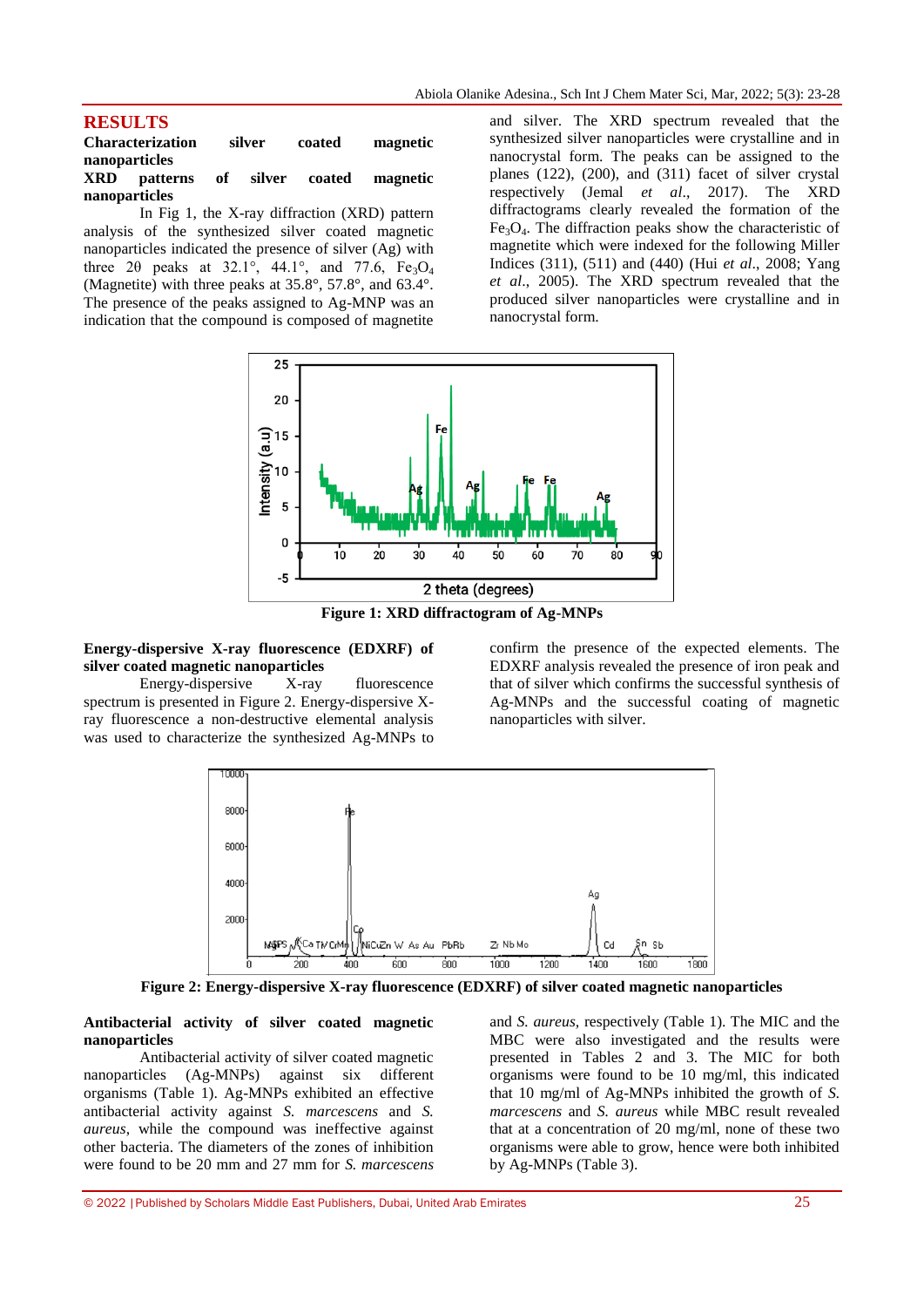# **RESULTS**

**Characterization silver coated magnetic nanoparticles XRD patterns of silver coated magnetic nanoparticles** 

In Fig 1, the X-ray diffraction (XRD) pattern analysis of the synthesized silver coated magnetic nanoparticles indicated the presence of silver (Ag) with three 2 $\theta$  peaks at 32.1°, 44.1°, and 77.6, Fe<sub>3</sub>O<sub>4</sub> (Magnetite) with three peaks at 35.8°, 57.8°, and 63.4°. The presence of the peaks assigned to Ag-MNP was an indication that the compound is composed of magnetite

and silver. The XRD spectrum revealed that the synthesized silver nanoparticles were crystalline and in nanocrystal form. The peaks can be assigned to the planes (122), (200), and (311) facet of silver crystal respectively (Jemal *et al*., 2017). The XRD diffractograms clearly revealed the formation of the  $Fe<sub>3</sub>O<sub>4</sub>$ . The diffraction peaks show the characteristic of magnetite which were indexed for the following Miller Indices (311), (511) and (440) (Hui *et al*., 2008; Yang *et al*., 2005). The XRD spectrum revealed that the produced silver nanoparticles were crystalline and in nanocrystal form.



**Figure 1: XRD diffractogram of Ag-MNPs**

#### **Energy-dispersive X-ray fluorescence (EDXRF) of silver coated magnetic nanoparticles**

Energy-dispersive X-ray fluorescence spectrum is presented in Figure 2. Energy-dispersive Xray fluorescence a non-destructive elemental analysis was used to characterize the synthesized Ag-MNPs to confirm the presence of the expected elements. The EDXRF analysis revealed the presence of iron peak and that of silver which confirms the successful synthesis of Ag-MNPs and the successful coating of magnetic nanoparticles with silver.



**Figure 2: Energy-dispersive X-ray fluorescence (EDXRF) of silver coated magnetic nanoparticles**

#### **Antibacterial activity of silver coated magnetic nanoparticles**

Antibacterial activity of silver coated magnetic nanoparticles (Ag-MNPs) against six different organisms (Table 1). Ag-MNPs exhibited an effective antibacterial activity against *S. marcescens* and *S. aureus*, while the compound was ineffective against other bacteria. The diameters of the zones of inhibition were found to be 20 mm and 27 mm for *S. marcescens* 

and *S. aureus,* respectively (Table 1). The MIC and the MBC were also investigated and the results were presented in Tables 2 and 3. The MIC for both organisms were found to be 10 mg/ml, this indicated that 10 mg/ml of Ag-MNPs inhibited the growth of *S. marcescens* and *S. aureus* while MBC result revealed that at a concentration of 20 mg/ml, none of these two organisms were able to grow, hence were both inhibited by Ag-MNPs (Table 3).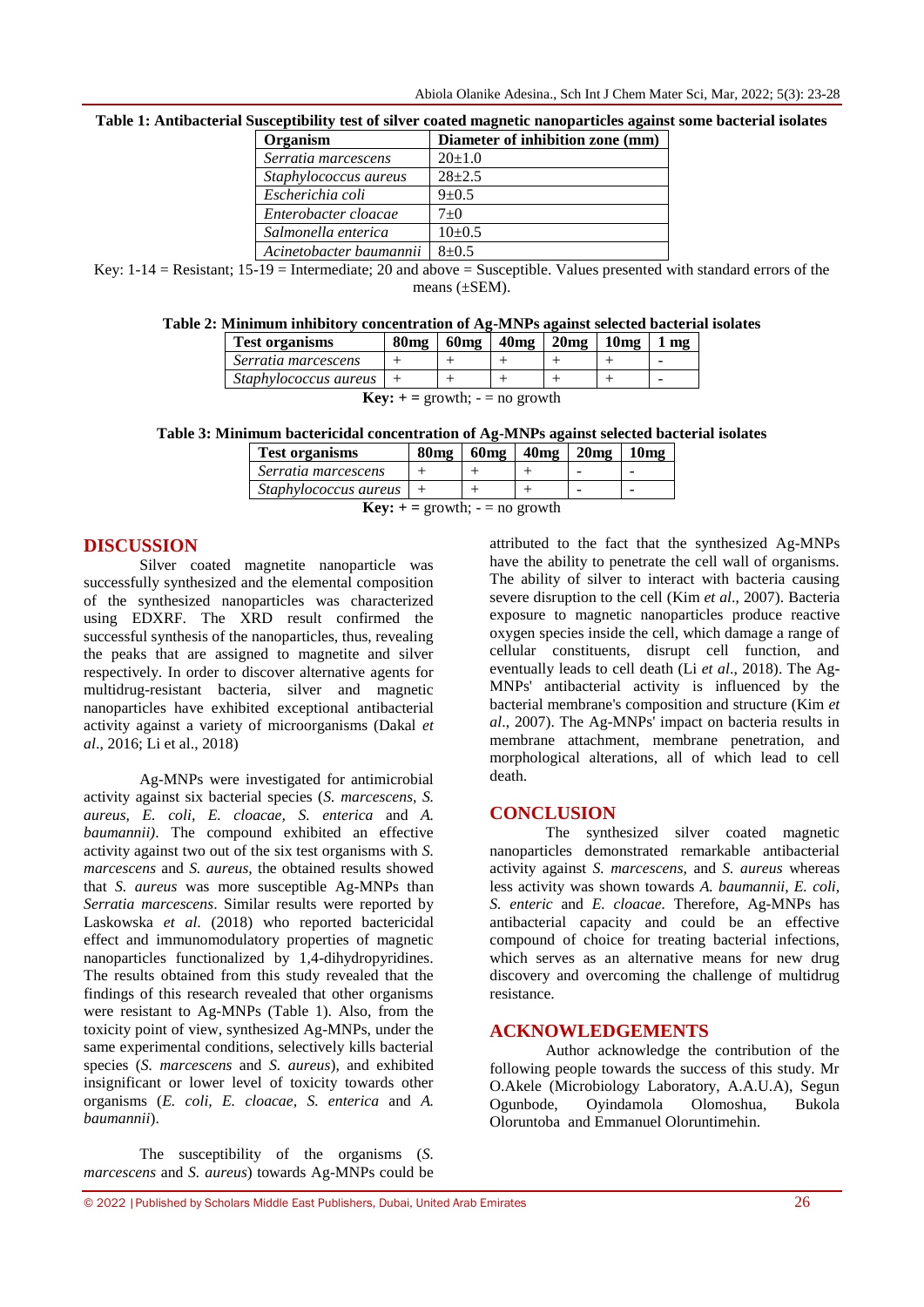| Organism                | Diameter of inhibition zone (mm) |
|-------------------------|----------------------------------|
| Serratia marcescens     | $20+1.0$                         |
| Staphylococcus aureus   | $28 + 2.5$                       |
| Escherichia coli        | $9 + 0.5$                        |
| Enterobacter cloacae    | $7+0$                            |
| Salmonella enterica     | $10+0.5$                         |
| Acinetobacter baumannii | $8 + 0.5$                        |

**Table 1: Antibacterial Susceptibility test of silver coated magnetic nanoparticles against some bacterial isolates**

Key:  $1-14 =$  Resistant;  $15-19 =$  Intermediate; 20 and above = Susceptible. Values presented with standard errors of the means (±SEM).

#### **Table 2: Minimum inhibitory concentration of Ag-MNPs against selected bacterial isolates**

| <b>Test organisms</b> | 80 <sub>mg</sub> | 60 <sub>mg</sub> | 40 <sub>mg</sub> | $20mg + 10mg$ | m <sub>2</sub> |
|-----------------------|------------------|------------------|------------------|---------------|----------------|
| Serratia marcescens   |                  |                  |                  |               |                |
| Staphylococcus aureus |                  |                  |                  |               | -              |

**Key:**  $+=$  growth;  $=$  no growth

**Table 3: Minimum bactericidal concentration of Ag-MNPs against selected bacterial isolates**

| <b>Test organisms</b>     | <b>80mg</b> | $60mg$   $40mg$   $20mg$   $10mg$ |  |
|---------------------------|-------------|-----------------------------------|--|
| Serratia marcescens       |             |                                   |  |
| $Staphylococcus aureus$ + |             |                                   |  |

**Key:**  $+=$  growth;  $=$  no growth

#### **DISCUSSION**

Silver coated magnetite nanoparticle was successfully synthesized and the elemental composition of the synthesized nanoparticles was characterized using EDXRF. The XRD result confirmed the successful synthesis of the nanoparticles, thus, revealing the peaks that are assigned to magnetite and silver respectively. In order to discover alternative agents for multidrug-resistant bacteria, silver and magnetic nanoparticles have exhibited exceptional antibacterial activity against a variety of microorganisms (Dakal *et al*., 2016; Li et al., 2018)

Ag-MNPs were investigated for antimicrobial activity against six bacterial species (*S. marcescens, S. aureus, E. coli, E. cloacae, S. enterica* and *A. baumannii)*. The compound exhibited an effective activity against two out of the six test organisms with *S. marcescens* and *S. aureus,* the obtained results showed that *S. aureus* was more susceptible Ag-MNPs than *Serratia marcescens*. Similar results were reported by Laskowska *et al*. (2018) who reported bactericidal effect and immunomodulatory properties of magnetic nanoparticles functionalized by 1,4-dihydropyridines. The results obtained from this study revealed that the findings of this research revealed that other organisms were resistant to Ag-MNPs (Table 1). Also, from the toxicity point of view, synthesized Ag-MNPs, under the same experimental conditions, selectively kills bacterial species (*S. marcescens* and *S. aureus*), and exhibited insignificant or lower level of toxicity towards other organisms (*E. coli, E. cloacae, S. enterica* and *A. baumannii*).

The susceptibility of the organisms (*S. marcescens* and *S. aureus*) towards Ag-MNPs could be

attributed to the fact that the synthesized Ag-MNPs have the ability to penetrate the cell wall of organisms. The ability of silver to interact with bacteria causing severe disruption to the cell (Kim *et al*., 2007). Bacteria exposure to magnetic nanoparticles produce reactive oxygen species inside the cell, which damage a range of cellular constituents, disrupt cell function, and eventually leads to cell death (Li *et al*., 2018). The Ag-MNPs' antibacterial activity is influenced by the bacterial membrane's composition and structure (Kim *et al*., 2007). The Ag-MNPs' impact on bacteria results in membrane attachment, membrane penetration, and morphological alterations, all of which lead to cell death.

#### **CONCLUSION**

The synthesized silver coated magnetic nanoparticles demonstrated remarkable antibacterial activity against *S. marcescens,* and *S. aureus* whereas less activity was shown towards *A. baumannii, E. coli, S. enteric* and *E. cloacae.* Therefore, Ag-MNPs has antibacterial capacity and could be an effective compound of choice for treating bacterial infections, which serves as an alternative means for new drug discovery and overcoming the challenge of multidrug resistance.

# **ACKNOWLEDGEMENTS**

Author acknowledge the contribution of the following people towards the success of this study. Mr O.Akele (Microbiology Laboratory, A.A.U.A), Segun Ogunbode, Oyindamola Olomoshua, Bukola Oloruntoba and Emmanuel Oloruntimehin.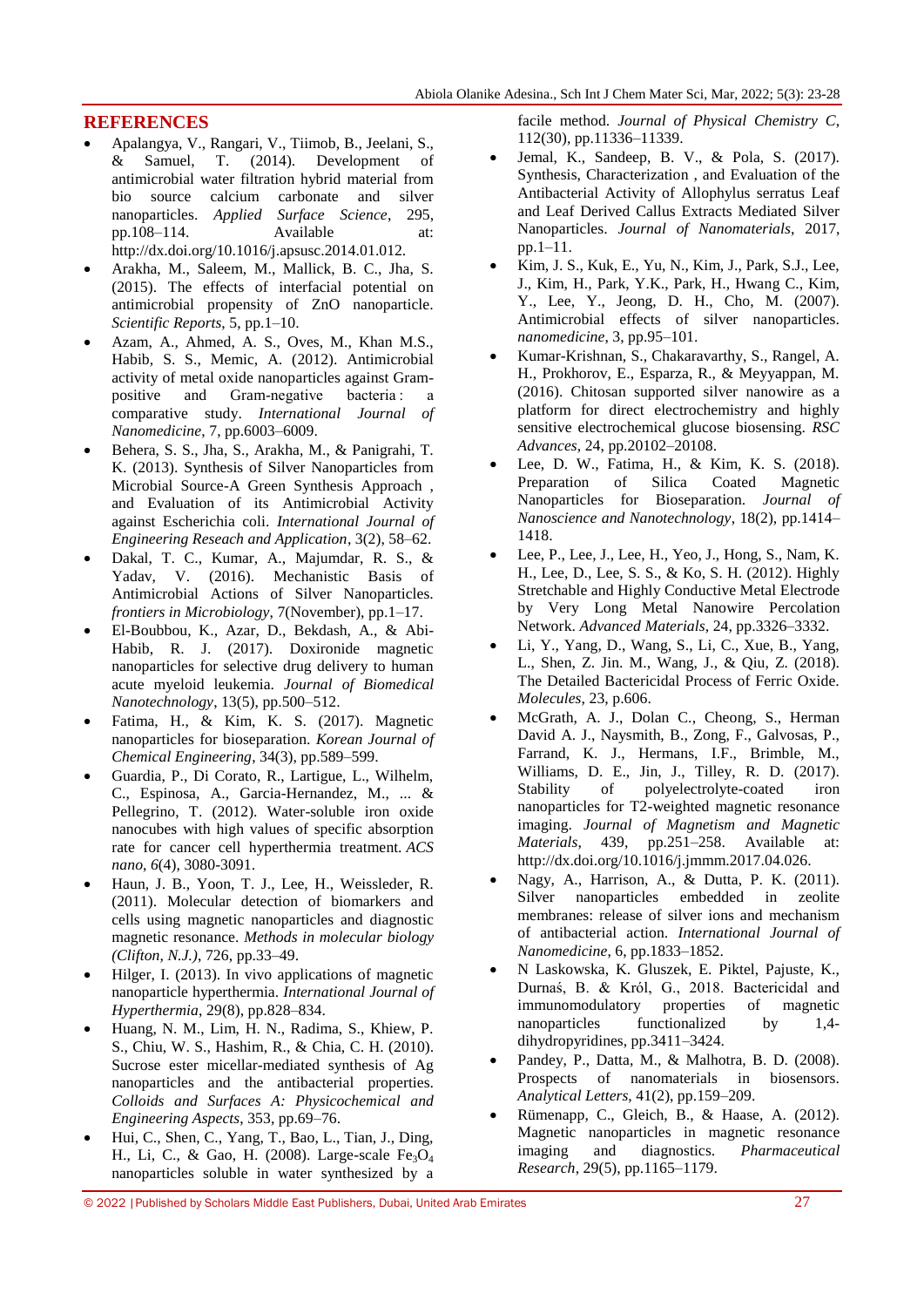# **REFERENCES**

- Apalangya, V., Rangari, V., Tiimob, B., Jeelani, S., & Samuel, T. (2014). Development of antimicrobial water filtration hybrid material from bio source calcium carbonate and silver nanoparticles. *Applied Surface Science*, 295, pp.108–114. Available at: http://dx.doi.org/10.1016/j.apsusc.2014.01.012.
- Arakha, M., Saleem, M., Mallick, B. C., Jha, S. (2015). The effects of interfacial potential on antimicrobial propensity of ZnO nanoparticle. *Scientific Reports*, 5, pp.1–10.
- Azam, A., Ahmed, A. S., Oves, M., Khan M.S., Habib, S. S., Memic, A. (2012). Antimicrobial activity of metal oxide nanoparticles against Grampositive and Gram-negative bacteria : a comparative study. *International Journal of Nanomedicine*, 7, pp.6003–6009.
- Behera, S. S., Jha, S., Arakha, M., & Panigrahi, T. K. (2013). Synthesis of Silver Nanoparticles from Microbial Source-A Green Synthesis Approach , and Evaluation of its Antimicrobial Activity against Escherichia coli. *International Journal of Engineering Reseach and Application*, 3(2), 58–62.
- Dakal, T. C., Kumar, A., Majumdar, R. S., & Yadav, V. (2016). Mechanistic Basis of Antimicrobial Actions of Silver Nanoparticles. *frontiers in Microbiology*, 7(November), pp.1–17.
- El-Boubbou, K., Azar, D., Bekdash, A., & Abi-Habib, R. J. (2017). Doxironide magnetic nanoparticles for selective drug delivery to human acute myeloid leukemia. *Journal of Biomedical Nanotechnology*, 13(5), pp.500–512.
- Fatima, H., & Kim, K. S. (2017). Magnetic nanoparticles for bioseparation. *Korean Journal of Chemical Engineering*, 34(3), pp.589–599.
- Guardia, P., Di Corato, R., Lartigue, L., Wilhelm, C., Espinosa, A., Garcia-Hernandez, M., ... & Pellegrino, T. (2012). Water-soluble iron oxide nanocubes with high values of specific absorption rate for cancer cell hyperthermia treatment. *ACS nano*, *6*(4), 3080-3091.
- Haun, J. B., Yoon, T. J., Lee, H., Weissleder, R. (2011). Molecular detection of biomarkers and cells using magnetic nanoparticles and diagnostic magnetic resonance. *Methods in molecular biology (Clifton, N.J.)*, 726, pp.33–49.
- Hilger, I. (2013). In vivo applications of magnetic nanoparticle hyperthermia. *International Journal of Hyperthermia*, 29(8), pp.828–834.
- Huang, N. M., Lim, H. N., Radima, S., Khiew, P. S., Chiu, W. S., Hashim, R., & Chia, C. H. (2010). Sucrose ester micellar-mediated synthesis of Ag nanoparticles and the antibacterial properties. *Colloids and Surfaces A: Physicochemical and Engineering Aspects*, 353, pp.69–76.
- Hui, C., Shen, C., Yang, T., Bao, L., Tian, J., Ding, H., Li, C., & Gao, H. (2008). Large-scale Fe<sub>3</sub>O<sub>4</sub> nanoparticles soluble in water synthesized by a

facile method. *Journal of Physical Chemistry C*, 112(30), pp.11336–11339.

- Jemal, K., Sandeep, B. V., & Pola, S. (2017). Synthesis, Characterization , and Evaluation of the Antibacterial Activity of Allophylus serratus Leaf and Leaf Derived Callus Extracts Mediated Silver Nanoparticles. *Journal of Nanomaterials*, 2017, pp.1–11.
- Kim, J. S., Kuk, E., Yu, N., Kim, J., Park, S.J., Lee, J., Kim, H., Park, Y.K., Park, H., Hwang C., Kim, Y., Lee, Y., Jeong, D. H., Cho, M. (2007). Antimicrobial effects of silver nanoparticles. *nanomedicine*, 3, pp.95–101.
- Kumar-Krishnan, S., Chakaravarthy, S., Rangel, A. H., Prokhorov, E., Esparza, R., & Meyyappan, M. (2016). Chitosan supported silver nanowire as a platform for direct electrochemistry and highly sensitive electrochemical glucose biosensing. *RSC Advances*, 24, pp.20102–20108.
- Lee, D. W., Fatima, H., & Kim, K. S. (2018). Preparation of Silica Coated Magnetic Nanoparticles for Bioseparation. *Journal of Nanoscience and Nanotechnology*, 18(2), pp.1414– 1418.
- Lee, P., Lee, J., Lee, H., Yeo, J., Hong, S., Nam, K. H., Lee, D., Lee, S. S., & Ko, S. H. (2012). Highly Stretchable and Highly Conductive Metal Electrode by Very Long Metal Nanowire Percolation Network. *Advanced Materials*, 24, pp.3326–3332.
- Li, Y., Yang, D., Wang, S., Li, C., Xue, B., Yang, L., Shen, Z. Jin. M., Wang, J., & Qiu, Z. (2018). The Detailed Bactericidal Process of Ferric Oxide. *Molecules*, 23, p.606.
- McGrath, A. J., Dolan C., Cheong, S., Herman David A. J., Naysmith, B., Zong, F., Galvosas, P., Farrand, K. J., Hermans, I.F., Brimble, M., Williams, D. E., Jin, J., Tilley, R. D. (2017). Stability of polyelectrolyte-coated iron nanoparticles for T2-weighted magnetic resonance imaging. *Journal of Magnetism and Magnetic Materials*, 439, pp.251–258. Available at: http://dx.doi.org/10.1016/j.jmmm.2017.04.026.
- Nagy, A., Harrison, A., & Dutta, P. K. (2011). Silver nanoparticles embedded in zeolite membranes: release of silver ions and mechanism of antibacterial action. *International Journal of Nanomedicine*, 6, pp.1833–1852.
- N Laskowska, K. Gluszek, E. Piktel, Pajuste, K., Durnaś, B. & Król, G., 2018. Bactericidal and immunomodulatory properties of magnetic nanoparticles functionalized by 1,4 dihydropyridines, pp.3411–3424.
- Pandey, P., Datta, M., & Malhotra, B. D. (2008). Prospects of nanomaterials in biosensors. *Analytical Letters*, 41(2), pp.159–209.
- Rümenapp, C., Gleich, B., & Haase, A. (2012). Magnetic nanoparticles in magnetic resonance imaging and diagnostics. *Pharmaceutical Research*, 29(5), pp.1165–1179.